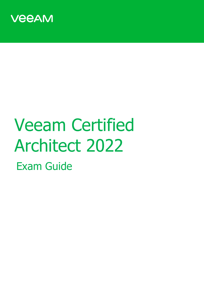

# Veeam Certified Architect 2022 Exam Guide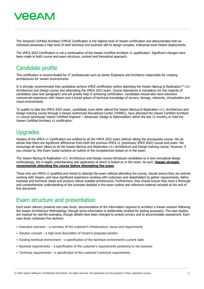The Veeam® Certified Architect (VMCA) Certification is the highest level of Veeam certification and demonstrates that an individual possesses a high level of both technical and business skill to design complex, enterprise-level Veeam deployments.

The VMCA 2022 Certification is not a continuation of the Veeam Certified Architect v1 qualification. Significant changes have been made to both course and exam structure, content and theoretical approach.

#### Candidate profile

This certification is recommended for IT professionals such as Senior Engineers and Architects responsible for creating architectures for Veeam environments.

It is strongly recommended that candidates achieve VMCE certification before attending the Veeam Backup & Replication™ v11: Architecture and Design course and attempting the VMCA 2022 exam. Course attendance is mandatory for the majority of candidates (see next paragraph) and will greatly help in achieving certification. Candidates should also have extensive commercial experience with Veeam and a broad sphere of technical knowledge of servers, storage, networks, virtualization and cloud environments.

To qualify to take the VMCA 2022 exam, candidates must either attend the Veeam Backup & Replication v11: Architecture and Design training course through a Veeam Authorized Educational Center (VMAEC), have attended the Veeam Certified Architect v1 course (previously Veeam Certified Engineer – Advanced: Design & Optimization) within the last 12 months, or hold the Veeam Certified Architect v1 certification.

#### Upgrades

Holders of the VMCA v1 Certification are entitled to sit the VMCA 2022 exam without sitting the prerequisite course. We do advise that there are significant differences from both the previous VMCA v1 (previously VMCE ADO) course and exam. We encourage all exam takers to sit the Veeam Backup and Replication v11 Architecture and Design training course. However, if you choose to, this Exam Guide contains an outline of the competencies tested on in the exam.

The Veeam Backup & Replication v11: Architecture and Design course introduces candidates to a new conceptual design methodology, the in-depth understanding and application of which is tested on in the exam. As such, **Veeam strongly recommends attending the course before attempting the exam**.

Those who are VMCA v1 qualified and intend to attempt the exam without attending the course, should ensure they are actively working with Veeam, and have significant experience working with customers and stakeholders to gather requirements, define business and technical needs and produce robust scalable architectures. Furthermore, they should ensure they have a thorough and comprehensive understanding of the concepts detailed in the exam outline and reference material included at the end of this document.

#### Exam structure and presentation

Each exam delivery presents one case study: documentation of the information required to architect a Veeam solution following the Veeam Architecture Methodology (though some information is deliberately omitted for testing purposes). The case studies are inspired by real-life examples, though details have been changed to protect privacy and to accommodate assessment. Each case study comprises five sections:

- Executive overview a summary of the customer's infrastructure, issues and requirements
- Solution concept a high-level description of Veeam's proposed solution
- Existing technical environment a specification of the technical environment's current state
- Business requirements a specification of the customer's requirements pertaining to the business
- Technical requirements a specification of the customer's technical requirements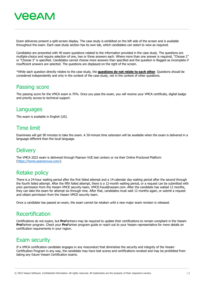

Exam deliveries present a split-screen display. The case study is exhibited on the left side of the screen and is available throughout the exam. Each case study section has its own tab, which candidates can select to view as required.

Candidates are presented with 40 exam questions related to the information provided in the case study. The questions are multiple-choice and require selection of one, two or three answers each. Where more than one answer is required, "Choose 2" or "Choose 3" is specified. Candidates cannot choose more answers than specified and the question is flagged as incomplete if insufficient answers are selected. The questions are displayed on the right of the screen.

\*While each question directly relates to the case study, the **questions do not relate to each other**. Questions should be considered independently and only in the context of the case study, not in the context of other questions.

#### Passing score

The passing score for the VMCA exam is 70%. Once you pass the exam, you will receive your VMCA certificate, digital badge and priority access to technical support.

#### **Languages**

The exam is available in English (US).

#### Time limit

Examinees will get 90 minutes to take the exam. A 30-minute time extension will be available when the exam is delivered in a language different than the local language.

#### **Delivery**

The VMCA 2022 exam is delivered through Pearson VUE test centers or via their Online Proctored Platform [\(https://home.pearsonvue.com/\)](https://home.pearsonvue.com/).

#### Retake policy

There is a 24-hour waiting period after the first failed attempt and a 14-calendar day waiting period after the second through the fourth failed attempt. After the fifth failed attempt, there is a 12-month waiting period, or a request can be submitted with prior permission from the Veeam VMCE security team, VMCE.fraud@veeam.com. After the candidate has waited 12 months, they can take the exam for attempt six through nine. After that, candidates must wait 12 months again, or submit a request and obtain permission from the Veeam VMCE security team.

Once a candidate has passed an exam, the exam cannot be retaken until a new major exam revision is released.

#### Recertification

Certifications do not expire, but **Pro**Partners may be required to update their certifications to remain compliant in the Veeam **Pro**Partner program. Check your **Pro**Partner program guide or reach out to your Veeam representative for more details on certification requirements in your region.

#### Exam security

If a VMCA certification candidate engages in any misconduct that diminishes the security and integrity of the Veeam Certification Program in any way, the candidate may have test scores and certifications revoked and may be prohibited from taking any future Veeam Certification exams.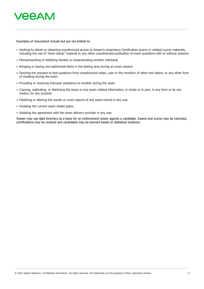

Examples of misconduct include but are not limited to:

- Seeking to obtain or obtaining unauthorized access to Veeam's proprietary Certification exams or related course materials, including the use of "brain-dump" material or any other unauthorized publication of exam questions with or without answers
- Misrepresenting or falsifying identity or impersonating another individual
- Bringing or having non-authorized items in the testing area during an exam session
- Deriving the answers to test questions from unauthorized notes, cues or the monitors of other test takers, or any other form of cheating during the exam
- Providing or receiving improper assistance to another during the exam
- Copying, replicating, or disclosing the exam or any exam related information, in whole or in part, in any form or by any means, for any purpose
- Falsifying or altering the results or score reports of any exam record in any way
- Violating the current exam retake policy
- Violating the agreement with the exam delivery provider in any way

Veeam may use data forensics as a basis for an enforcement action against a candidate. Exams and scores may be canceled, certifications may be revoked and candidates may be banned based on statistical evidence.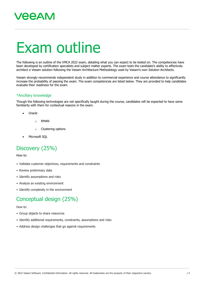## Exam outline

The following is an outline of the VMCA 2022 exam, detailing what you can expect to be tested on. The competencies have been developed by certification specialists and subject matter experts. The exam tests the candidate's ability to effectively architect a Veeam solution following the Veeam Architecture Methodology used by Veeam's own Solution Architects.

Veeam strongly recommends independent study in addition to commercial experience and course attendance to significantly increase the probability of passing the exam. The exam competencies are listed below. They are provided to help candidates evaluate their readiness for the exam.

#### \*Ancillary knowledge

Though the following technologies are not specifically taught during the course, candidates will be expected to have some familiarity with them for contextual reasons in the exam.

- Oracle
	- o RMAN
	- o Clustering options
- Microsoft SQL

#### Discovery (25%)

How to:

- Validate customer objectives, requirements and constraints
- Review preliminary data
- Identify assumptions and risks
- Analyze an existing environment
- Identify complexity in the environment

#### Conceptual design (25%)

#### How to:

- Group objects to share resources
- Identify additional requirements, constraints, assumptions and risks
- Address design challenges that go against requirements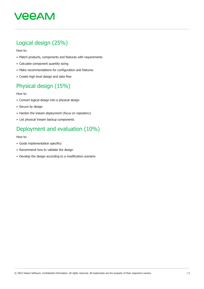#### Logical design (25%)

How to:

- Match products, components and features with requirements
- Calculate component quantity sizing
- Make recommendations for configuration and features
- Create high level design and data flow

#### Physical design (15%)

How to:

- Convert logical design into a physical design
- Secure by design
- Harden the Veeam deployment (focus on repository)
- List physical Veeam backup components

#### Deployment and evaluation (10%)

How to:

- Guide implementation specifics
- Recommend how to validate the design
- Develop the design according to a modification scenario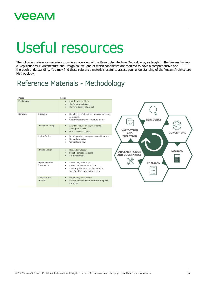### **VEEAM**

# Useful resources

The following reference materials provide an overview of the Veeam Architecture Methodology, as taught in the Veeam Backup & Replication v11: Architecture and Design course, and of which candidates are required to have a comprehensive and thorough understanding. You may find these reference materials useful to assess your understanding of the Veeam Architecture Methodology.

### Reference Materials - Methodology

| Phase       |                              | Focus                                                                                                                                                                                       |
|-------------|------------------------------|---------------------------------------------------------------------------------------------------------------------------------------------------------------------------------------------|
| Preliminary |                              | Identify stakeholders<br>$\bullet$<br>Confirm project scope<br>$\bullet$<br>Confirm viability of project<br>$\bullet$                                                                       |
| Iteration   | Discovery                    | Detailed list of objectives, requirements and<br>$\bullet$<br>constraints<br><b>DISCOVERY</b><br>Capture relevant infrastructure metrics<br>$\bullet$                                       |
|             | <b>Conceptual Design</b>     | Map out requirements, constraints,<br>$\bullet$<br>assumptions, risks<br><b>VALIDATION</b><br>Group relevant objects<br>$\bullet$<br><b>CONCEPTUAL</b><br><b>AND</b>                        |
|             | Logical Design               | <b>ITERATION</b><br>Decide products, components and features<br>$\bullet$<br>Generalized sizing<br>٠<br>General data flow<br>٠                                                              |
|             | <b>Physical Design</b>       | Decide form factor<br>$\bullet$<br><b>LOGICAL</b><br><b>IMPLEMENTATION</b><br>Specific component sizing<br>$\bullet$<br><b>AND GOVERNANCE</b><br><b>Bill of materials</b><br>$\bullet$<br>噩 |
|             | Implementation<br>Governance | <b>PHYSICAL</b><br>Review physical design<br>$\bullet$<br>Review implementation plan<br>$\bullet$<br>Provide guidance on implementation<br>$\bullet$<br>specifics that relate to the design |
|             | Validation and<br>Iteration  | Periodically review state<br>$\bullet$<br>Provide recommendations for subsequent<br>$\bullet$<br>iterations                                                                                 |